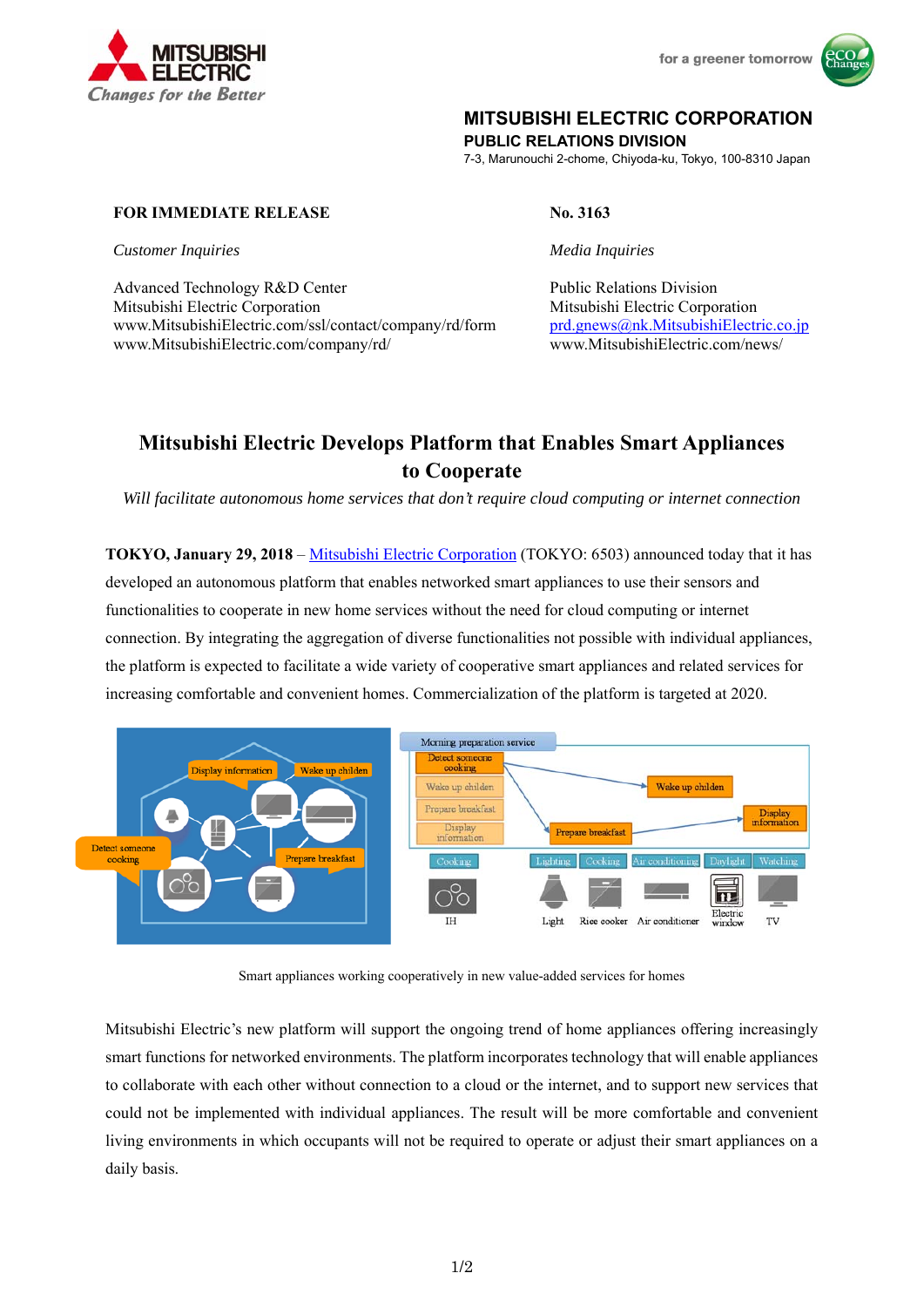



## **MITSUBISHI ELECTRIC CORPORATION**

**PUBLIC RELATIONS DIVISION** 

7-3, Marunouchi 2-chome, Chiyoda-ku, Tokyo, 100-8310 Japan

## **FOR IMMEDIATE RELEASE No. 3163**

*Customer Inquiries Media Inquiries* 

Advanced Technology R&D Center **Public Relations Division** Public Relations Division Mitsubishi Electric Corporation Mitsubishi Electric Corporation www.MitsubishiElectric.com/ssl/contact/company/rd/form www.MitsubishiElectric.com/company/rd/

prd.gnews@nk.MitsubishiElectric.co.jp www.MitsubishiElectric.com/news/

# **Mitsubishi Electric Develops Platform that Enables Smart Appliances to Cooperate**

*Will facilitate autonomous home services that don't require cloud computing or internet connection* 

**TOKYO, January 29, 2018** – Mitsubishi Electric Corporation (TOKYO: 6503) announced today that it has developed an autonomous platform that enables networked smart appliances to use their sensors and functionalities to cooperate in new home services without the need for cloud computing or internet connection. By integrating the aggregation of diverse functionalities not possible with individual appliances, the platform is expected to facilitate a wide variety of cooperative smart appliances and related services for increasing comfortable and convenient homes. Commercialization of the platform is targeted at 2020.



Smart appliances working cooperatively in new value-added services for homes

Mitsubishi Electric's new platform will support the ongoing trend of home appliances offering increasingly smart functions for networked environments. The platform incorporates technology that will enable appliances to collaborate with each other without connection to a cloud or the internet, and to support new services that could not be implemented with individual appliances. The result will be more comfortable and convenient living environments in which occupants will not be required to operate or adjust their smart appliances on a daily basis.